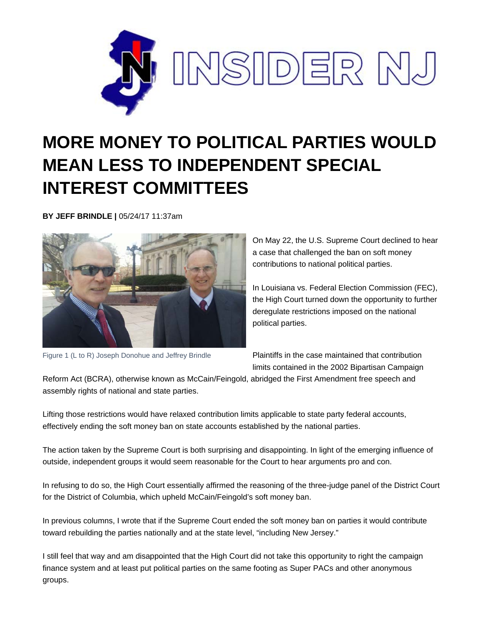

## **MORE MONEY TO POLITICAL PARTIES WOULD MEAN LESS TO INDEPENDENT SPECIAL INTEREST COMMITTEES**

**BY JEFF BRINDLE |** 05/24/17 11:37am



Figure 1 (L to R) Joseph Donohue and Jeffrey Brindle

On May 22, the U.S. Supreme Court declined to hear a case that challenged the ban on soft money contributions to national political parties.

In Louisiana vs. Federal Election Commission (FEC), the High Court turned down the opportunity to further deregulate restrictions imposed on the national political parties.

Plaintiffs in the case maintained that contribution limits contained in the 2002 Bipartisan Campaign

Reform Act (BCRA), otherwise known as McCain/Feingold, abridged the First Amendment free speech and assembly rights of national and state parties.

Lifting those restrictions would have relaxed contribution limits applicable to state party federal accounts, effectively ending the soft money ban on state accounts established by the national parties.

The action taken by the Supreme Court is both surprising and disappointing. In light of the emerging influence of outside, independent groups it would seem reasonable for the Court to hear arguments pro and con.

In refusing to do so, the High Court essentially affirmed the reasoning of the three-judge panel of the District Court for the District of Columbia, which upheld McCain/Feingold's soft money ban.

In previous columns, I wrote that if the Supreme Court ended the soft money ban on parties it would contribute toward rebuilding the parties nationally and at the state level, "including New Jersey."

I still feel that way and am disappointed that the High Court did not take this opportunity to right the campaign finance system and at least put political parties on the same footing as Super PACs and other anonymous groups.